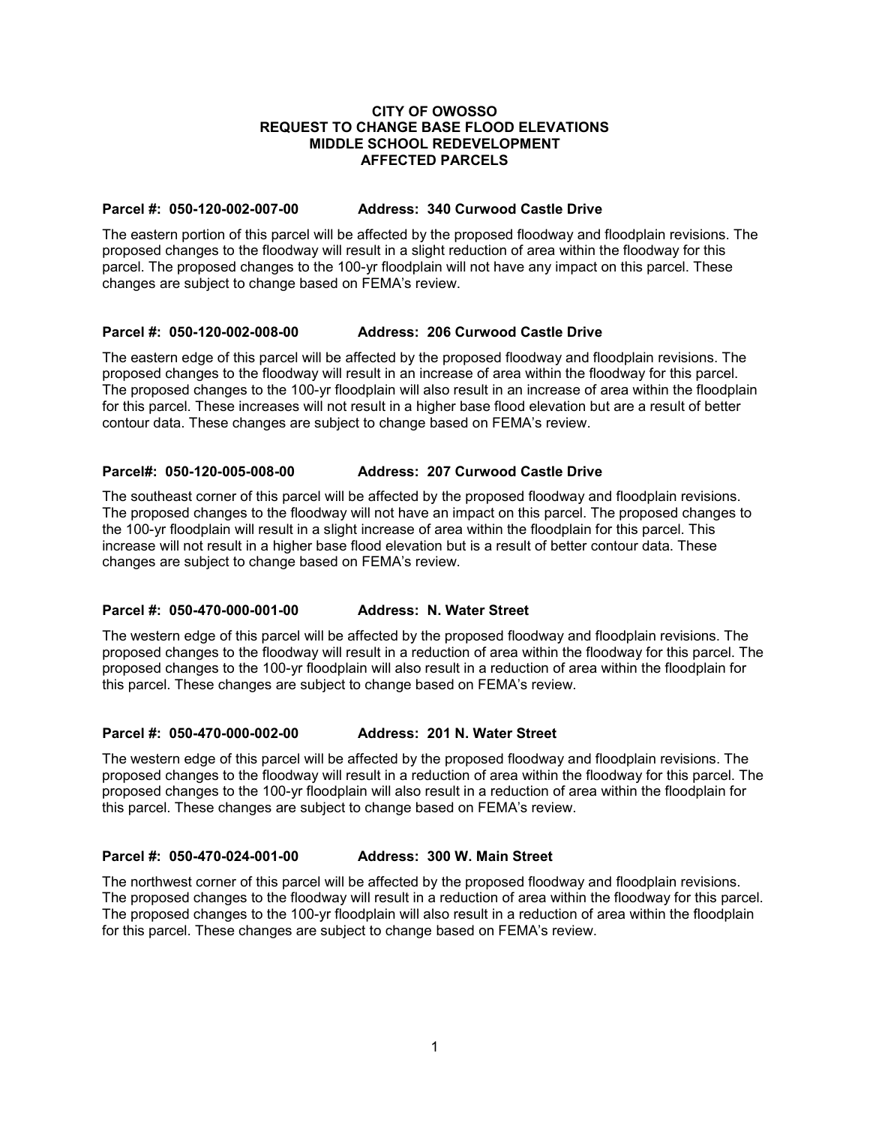## **CITY OF OWOSSO REQUEST TO CHANGE BASE FLOOD ELEVATIONS MIDDLE SCHOOL REDEVELOPMENT AFFECTED PARCELS**

# **Parcel #: 050-120-002-007-00 Address: 340 Curwood Castle Drive**

The eastern portion of this parcel will be affected by the proposed floodway and floodplain revisions. The proposed changes to the floodway will result in a slight reduction of area within the floodway for this parcel. The proposed changes to the 100-yr floodplain will not have any impact on this parcel. These changes are subject to change based on FEMA's review.

# **Parcel #: 050-120-002-008-00 Address: 206 Curwood Castle Drive**

The eastern edge of this parcel will be affected by the proposed floodway and floodplain revisions. The proposed changes to the floodway will result in an increase of area within the floodway for this parcel. The proposed changes to the 100-yr floodplain will also result in an increase of area within the floodplain for this parcel. These increases will not result in a higher base flood elevation but are a result of better contour data. These changes are subject to change based on FEMA's review.

# **Parcel#: 050-120-005-008-00 Address: 207 Curwood Castle Drive**

The southeast corner of this parcel will be affected by the proposed floodway and floodplain revisions. The proposed changes to the floodway will not have an impact on this parcel. The proposed changes to the 100-yr floodplain will result in a slight increase of area within the floodplain for this parcel. This increase will not result in a higher base flood elevation but is a result of better contour data. These changes are subject to change based on FEMA's review.

## **Parcel #: 050-470-000-001-00 Address: N. Water Street**

The western edge of this parcel will be affected by the proposed floodway and floodplain revisions. The proposed changes to the floodway will result in a reduction of area within the floodway for this parcel. The proposed changes to the 100-yr floodplain will also result in a reduction of area within the floodplain for this parcel. These changes are subject to change based on FEMA's review.

## **Parcel #: 050-470-000-002-00 Address: 201 N. Water Street**

The western edge of this parcel will be affected by the proposed floodway and floodplain revisions. The proposed changes to the floodway will result in a reduction of area within the floodway for this parcel. The proposed changes to the 100-yr floodplain will also result in a reduction of area within the floodplain for this parcel. These changes are subject to change based on FEMA's review.

## **Parcel #: 050-470-024-001-00 Address: 300 W. Main Street**

The northwest corner of this parcel will be affected by the proposed floodway and floodplain revisions. The proposed changes to the floodway will result in a reduction of area within the floodway for this parcel. The proposed changes to the 100-yr floodplain will also result in a reduction of area within the floodplain for this parcel. These changes are subject to change based on FEMA's review.